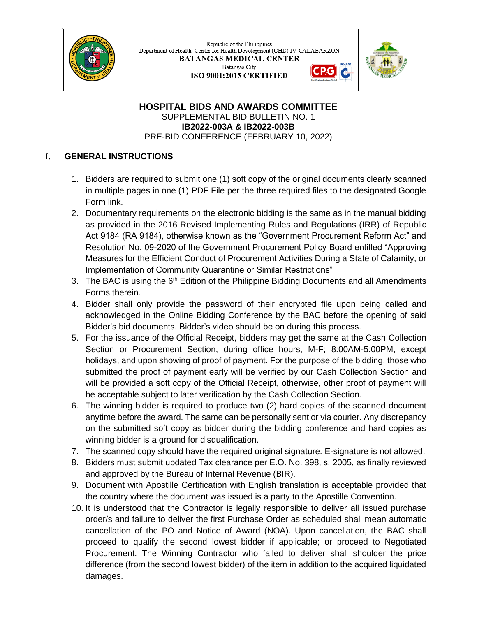

Republic of the Philippines Department of Health, Center for Health Development (CHD) IV-CALABARZON **BATANGAS MEDICAL CENTER** Batangas City G

ISO 9001:2015 CERTIFIED



**HOSPITAL BIDS AND AWARDS COMMITTEE** SUPPLEMENTAL BID BULLETIN NO. 1 **IB2022-003A & IB2022-003B** PRE-BID CONFERENCE (FEBRUARY 10, 2022)

## I. **GENERAL INSTRUCTIONS**

- 1. Bidders are required to submit one (1) soft copy of the original documents clearly scanned in multiple pages in one (1) PDF File per the three required files to the designated Google Form link.
- 2. Documentary requirements on the electronic bidding is the same as in the manual bidding as provided in the 2016 Revised Implementing Rules and Regulations (IRR) of Republic Act 9184 (RA 9184), otherwise known as the "Government Procurement Reform Act" and Resolution No. 09-2020 of the Government Procurement Policy Board entitled "Approving Measures for the Efficient Conduct of Procurement Activities During a State of Calamity, or Implementation of Community Quarantine or Similar Restrictions"
- 3. The BAC is using the  $6<sup>th</sup>$  Edition of the Philippine Bidding Documents and all Amendments Forms therein.
- 4. Bidder shall only provide the password of their encrypted file upon being called and acknowledged in the Online Bidding Conference by the BAC before the opening of said Bidder's bid documents. Bidder's video should be on during this process.
- 5. For the issuance of the Official Receipt, bidders may get the same at the Cash Collection Section or Procurement Section, during office hours, M-F; 8:00AM-5:00PM, except holidays, and upon showing of proof of payment. For the purpose of the bidding, those who submitted the proof of payment early will be verified by our Cash Collection Section and will be provided a soft copy of the Official Receipt, otherwise, other proof of payment will be acceptable subject to later verification by the Cash Collection Section.
- 6. The winning bidder is required to produce two (2) hard copies of the scanned document anytime before the award. The same can be personally sent or via courier. Any discrepancy on the submitted soft copy as bidder during the bidding conference and hard copies as winning bidder is a ground for disqualification.
- 7. The scanned copy should have the required original signature. E-signature is not allowed.
- 8. Bidders must submit updated Tax clearance per E.O. No. 398, s. 2005, as finally reviewed and approved by the Bureau of Internal Revenue (BIR).
- 9. Document with Apostille Certification with English translation is acceptable provided that the country where the document was issued is a party to the Apostille Convention.
- 10. It is understood that the Contractor is legally responsible to deliver all issued purchase order/s and failure to deliver the first Purchase Order as scheduled shall mean automatic cancellation of the PO and Notice of Award (NOA). Upon cancellation, the BAC shall proceed to qualify the second lowest bidder if applicable; or proceed to Negotiated Procurement. The Winning Contractor who failed to deliver shall shoulder the price difference (from the second lowest bidder) of the item in addition to the acquired liquidated damages.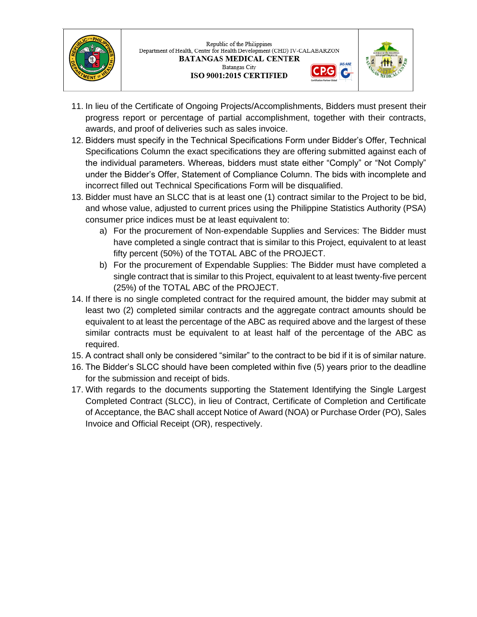



- 11. In lieu of the Certificate of Ongoing Projects/Accomplishments, Bidders must present their progress report or percentage of partial accomplishment, together with their contracts, awards, and proof of deliveries such as sales invoice.
- 12. Bidders must specify in the Technical Specifications Form under Bidder's Offer, Technical Specifications Column the exact specifications they are offering submitted against each of the individual parameters. Whereas, bidders must state either "Comply" or "Not Comply" under the Bidder's Offer, Statement of Compliance Column. The bids with incomplete and incorrect filled out Technical Specifications Form will be disqualified.
- 13. Bidder must have an SLCC that is at least one (1) contract similar to the Project to be bid, and whose value, adjusted to current prices using the Philippine Statistics Authority (PSA) consumer price indices must be at least equivalent to:
	- a) For the procurement of Non-expendable Supplies and Services: The Bidder must have completed a single contract that is similar to this Project, equivalent to at least fifty percent (50%) of the TOTAL ABC of the PROJECT.
	- b) For the procurement of Expendable Supplies: The Bidder must have completed a single contract that is similar to this Project, equivalent to at least twenty-five percent (25%) of the TOTAL ABC of the PROJECT.
- 14. If there is no single completed contract for the required amount, the bidder may submit at least two (2) completed similar contracts and the aggregate contract amounts should be equivalent to at least the percentage of the ABC as required above and the largest of these similar contracts must be equivalent to at least half of the percentage of the ABC as required.
- 15. A contract shall only be considered "similar" to the contract to be bid if it is of similar nature.
- 16. The Bidder's SLCC should have been completed within five (5) years prior to the deadline for the submission and receipt of bids.
- 17. With regards to the documents supporting the Statement Identifying the Single Largest Completed Contract (SLCC), in lieu of Contract, Certificate of Completion and Certificate of Acceptance, the BAC shall accept Notice of Award (NOA) or Purchase Order (PO), Sales Invoice and Official Receipt (OR), respectively.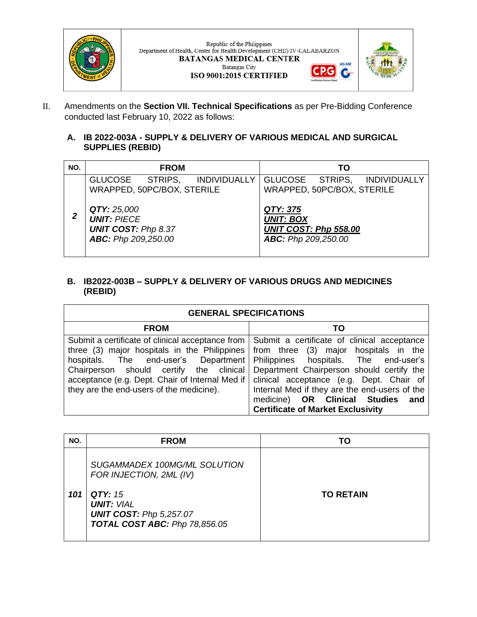

 ${\bf Republic~of~the~Philippines}$  Department of Health, Center for Health Development (CHD) IV-CALABARZON **BATANGAS MEDICAL CENTER** Batangas City ISO 9001:2015 CERTIFIED



**JAS-ANZ** 

G

II. Amendments on the **Section VII. Technical Specifications** as per Pre-Bidding Conference conducted last February 10, 2022 as follows:

## **A. IB 2022-003A - SUPPLY & DELIVERY OF VARIOUS MEDICAL AND SURGICAL SUPPLIES (REBID)**

| NO. | <b>FROM</b>                                                                            | TΟ                                                                           |
|-----|----------------------------------------------------------------------------------------|------------------------------------------------------------------------------|
|     | GLUCOSE STRIPS,<br><b>INDIVIDUALLY</b><br>WRAPPED, 50PC/BOX, STERILE                   | GLUCOSE STRIPS, INDIVIDUALLY<br>WRAPPED, 50PC/BOX, STERILE                   |
|     | QTY: 25,000<br><b>UNIT: PIECE</b><br><b>UNIT COST: Php 8.37</b><br>ABC: Php 209,250.00 | QTY: 375<br><b>UNIT: BOX</b><br>UNIT COST: Php 558.00<br>ABC: Php 209,250.00 |

## **B. IB2022-003B – SUPPLY & DELIVERY OF VARIOUS DRUGS AND MEDICINES (REBID)**

| <b>GENERAL SPECIFICATIONS</b>                                                                                                                                                                                                                                                      |                                                                                                                                                                                                                                                                                                                                                             |  |
|------------------------------------------------------------------------------------------------------------------------------------------------------------------------------------------------------------------------------------------------------------------------------------|-------------------------------------------------------------------------------------------------------------------------------------------------------------------------------------------------------------------------------------------------------------------------------------------------------------------------------------------------------------|--|
| <b>FROM</b>                                                                                                                                                                                                                                                                        | TO                                                                                                                                                                                                                                                                                                                                                          |  |
| Submit a certificate of clinical acceptance from<br>three (3) major hospitals in the Philippines<br>hospitals. The end-user's Department<br>Chairperson should certify the clinical<br>acceptance (e.g. Dept. Chair of Internal Med if<br>they are the end-users of the medicine). | Submit a certificate of clinical acceptance<br>from three (3) major hospitals in the<br>Philippines hospitals. The end-user's<br>Department Chairperson should certify the<br>clinical acceptance (e.g. Dept. Chair of<br>Internal Med if they are the end-users of the<br>medicine) OR Clinical Studies<br>and<br><b>Certificate of Market Exclusivity</b> |  |

| NO. | <b>FROM</b>                                                                                                                                                       | ГΟ               |
|-----|-------------------------------------------------------------------------------------------------------------------------------------------------------------------|------------------|
| 101 | SUGAMMADEX 100MG/ML SOLUTION<br>FOR INJECTION, 2ML (IV)<br><b>QTY: 15</b><br><b>UNIT: VIAL</b><br><b>UNIT COST: Php 5,257.07</b><br>TOTAL COST ABC: Php 78,856.05 | <b>TO RETAIN</b> |